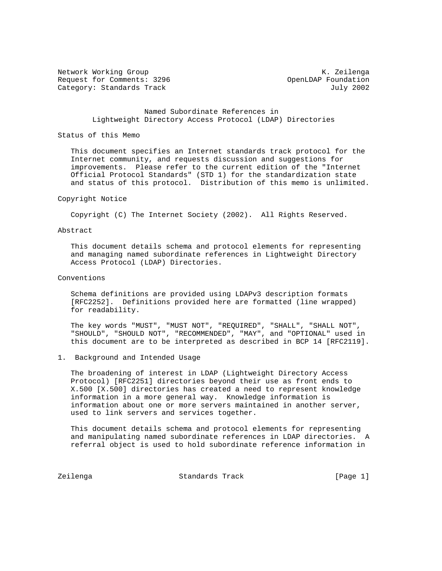Network Working Group Network Working Group Network Alexander Manual Association Alexander Manual Alexander Ma Request for Comments: 3296 OpenLDAP Foundation Category: Standards Track July 2002

# Named Subordinate References in Lightweight Directory Access Protocol (LDAP) Directories

## Status of this Memo

 This document specifies an Internet standards track protocol for the Internet community, and requests discussion and suggestions for improvements. Please refer to the current edition of the "Internet Official Protocol Standards" (STD 1) for the standardization state and status of this protocol. Distribution of this memo is unlimited.

#### Copyright Notice

Copyright (C) The Internet Society (2002). All Rights Reserved.

### Abstract

 This document details schema and protocol elements for representing and managing named subordinate references in Lightweight Directory Access Protocol (LDAP) Directories.

#### Conventions

 Schema definitions are provided using LDAPv3 description formats [RFC2252]. Definitions provided here are formatted (line wrapped) for readability.

 The key words "MUST", "MUST NOT", "REQUIRED", "SHALL", "SHALL NOT", "SHOULD", "SHOULD NOT", "RECOMMENDED", "MAY", and "OPTIONAL" used in this document are to be interpreted as described in BCP 14 [RFC2119].

1. Background and Intended Usage

 The broadening of interest in LDAP (Lightweight Directory Access Protocol) [RFC2251] directories beyond their use as front ends to X.500 [X.500] directories has created a need to represent knowledge information in a more general way. Knowledge information is information about one or more servers maintained in another server, used to link servers and services together.

 This document details schema and protocol elements for representing and manipulating named subordinate references in LDAP directories. A referral object is used to hold subordinate reference information in

Zeilenga Standards Track [Page 1]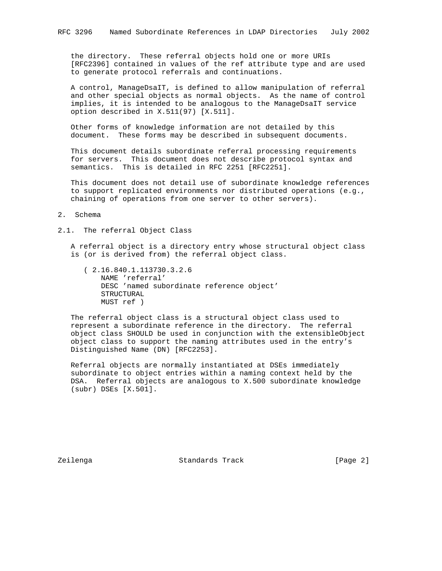the directory. These referral objects hold one or more URIs [RFC2396] contained in values of the ref attribute type and are used to generate protocol referrals and continuations.

 A control, ManageDsaIT, is defined to allow manipulation of referral and other special objects as normal objects. As the name of control implies, it is intended to be analogous to the ManageDsaIT service option described in X.511(97) [X.511].

 Other forms of knowledge information are not detailed by this document. These forms may be described in subsequent documents.

 This document details subordinate referral processing requirements for servers. This document does not describe protocol syntax and semantics. This is detailed in RFC 2251 [RFC2251].

 This document does not detail use of subordinate knowledge references to support replicated environments nor distributed operations (e.g., chaining of operations from one server to other servers).

#### 2. Schema

# 2.1. The referral Object Class

 A referral object is a directory entry whose structural object class is (or is derived from) the referral object class.

 ( 2.16.840.1.113730.3.2.6 NAME 'referral' DESC 'named subordinate reference object' STRUCTURAL MUST ref )

 The referral object class is a structural object class used to represent a subordinate reference in the directory. The referral object class SHOULD be used in conjunction with the extensibleObject object class to support the naming attributes used in the entry's Distinguished Name (DN) [RFC2253].

 Referral objects are normally instantiated at DSEs immediately subordinate to object entries within a naming context held by the DSA. Referral objects are analogous to X.500 subordinate knowledge (subr) DSEs [X.501].

Zeilenga Standards Track [Page 2]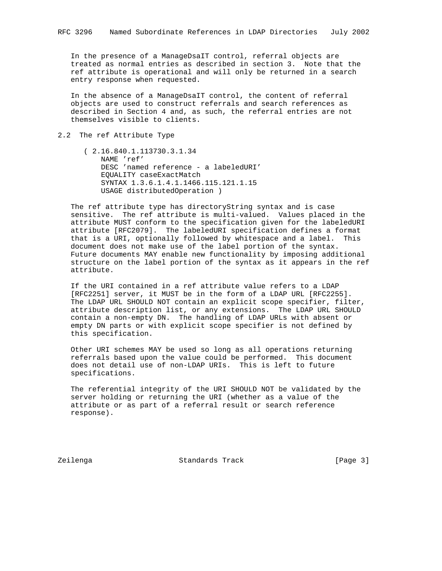In the presence of a ManageDsaIT control, referral objects are treated as normal entries as described in section 3. Note that the ref attribute is operational and will only be returned in a search entry response when requested.

 In the absence of a ManageDsaIT control, the content of referral objects are used to construct referrals and search references as described in Section 4 and, as such, the referral entries are not themselves visible to clients.

# 2.2 The ref Attribute Type

 ( 2.16.840.1.113730.3.1.34 NAME 'ref' DESC 'named reference - a labeledURI' EQUALITY caseExactMatch SYNTAX 1.3.6.1.4.1.1466.115.121.1.15 USAGE distributedOperation )

 The ref attribute type has directoryString syntax and is case sensitive. The ref attribute is multi-valued. Values placed in the attribute MUST conform to the specification given for the labeledURI attribute [RFC2079]. The labeledURI specification defines a format that is a URI, optionally followed by whitespace and a label. This document does not make use of the label portion of the syntax. Future documents MAY enable new functionality by imposing additional structure on the label portion of the syntax as it appears in the ref attribute.

 If the URI contained in a ref attribute value refers to a LDAP [RFC2251] server, it MUST be in the form of a LDAP URL [RFC2255]. The LDAP URL SHOULD NOT contain an explicit scope specifier, filter, attribute description list, or any extensions. The LDAP URL SHOULD contain a non-empty DN. The handling of LDAP URLs with absent or empty DN parts or with explicit scope specifier is not defined by this specification.

 Other URI schemes MAY be used so long as all operations returning referrals based upon the value could be performed. This document does not detail use of non-LDAP URIs. This is left to future specifications.

 The referential integrity of the URI SHOULD NOT be validated by the server holding or returning the URI (whether as a value of the attribute or as part of a referral result or search reference response).

Zeilenga Standards Track [Page 3]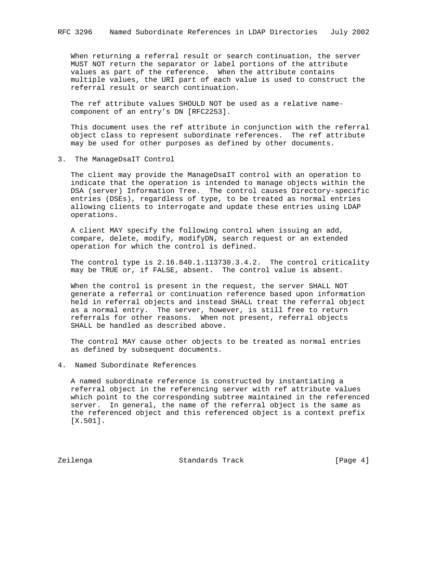When returning a referral result or search continuation, the server MUST NOT return the separator or label portions of the attribute values as part of the reference. When the attribute contains multiple values, the URI part of each value is used to construct the referral result or search continuation.

 The ref attribute values SHOULD NOT be used as a relative name component of an entry's DN [RFC2253].

 This document uses the ref attribute in conjunction with the referral object class to represent subordinate references. The ref attribute may be used for other purposes as defined by other documents.

3. The ManageDsaIT Control

 The client may provide the ManageDsaIT control with an operation to indicate that the operation is intended to manage objects within the DSA (server) Information Tree. The control causes Directory-specific entries (DSEs), regardless of type, to be treated as normal entries allowing clients to interrogate and update these entries using LDAP operations.

 A client MAY specify the following control when issuing an add, compare, delete, modify, modifyDN, search request or an extended operation for which the control is defined.

 The control type is 2.16.840.1.113730.3.4.2. The control criticality may be TRUE or, if FALSE, absent. The control value is absent.

 When the control is present in the request, the server SHALL NOT generate a referral or continuation reference based upon information held in referral objects and instead SHALL treat the referral object as a normal entry. The server, however, is still free to return referrals for other reasons. When not present, referral objects SHALL be handled as described above.

 The control MAY cause other objects to be treated as normal entries as defined by subsequent documents.

4. Named Subordinate References

 A named subordinate reference is constructed by instantiating a referral object in the referencing server with ref attribute values which point to the corresponding subtree maintained in the referenced server. In general, the name of the referral object is the same as the referenced object and this referenced object is a context prefix [X.501].

Zeilenga Standards Track [Page 4]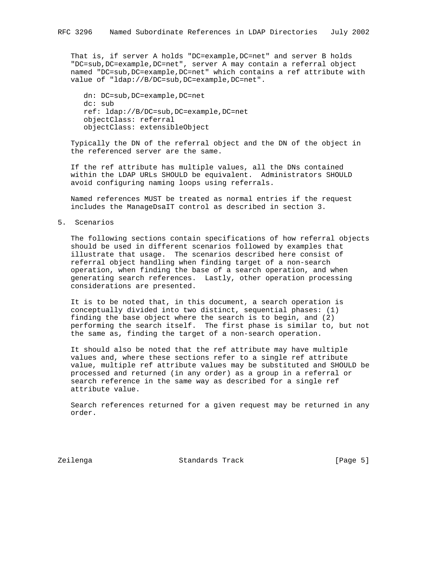That is, if server A holds "DC=example,DC=net" and server B holds "DC=sub,DC=example,DC=net", server A may contain a referral object named "DC=sub,DC=example,DC=net" which contains a ref attribute with value of "ldap://B/DC=sub,DC=example,DC=net".

```
 dn: DC=sub,DC=example,DC=net
dc: sub
ref: ldap://B/DC=sub,DC=example,DC=net
objectClass: referral
objectClass: extensibleObject
```
 Typically the DN of the referral object and the DN of the object in the referenced server are the same.

 If the ref attribute has multiple values, all the DNs contained within the LDAP URLs SHOULD be equivalent. Administrators SHOULD avoid configuring naming loops using referrals.

 Named references MUST be treated as normal entries if the request includes the ManageDsaIT control as described in section 3.

5. Scenarios

 The following sections contain specifications of how referral objects should be used in different scenarios followed by examples that illustrate that usage. The scenarios described here consist of referral object handling when finding target of a non-search operation, when finding the base of a search operation, and when generating search references. Lastly, other operation processing considerations are presented.

 It is to be noted that, in this document, a search operation is conceptually divided into two distinct, sequential phases: (1) finding the base object where the search is to begin, and (2) performing the search itself. The first phase is similar to, but not the same as, finding the target of a non-search operation.

 It should also be noted that the ref attribute may have multiple values and, where these sections refer to a single ref attribute value, multiple ref attribute values may be substituted and SHOULD be processed and returned (in any order) as a group in a referral or search reference in the same way as described for a single ref attribute value.

 Search references returned for a given request may be returned in any order.

Zeilenga Standards Track [Page 5]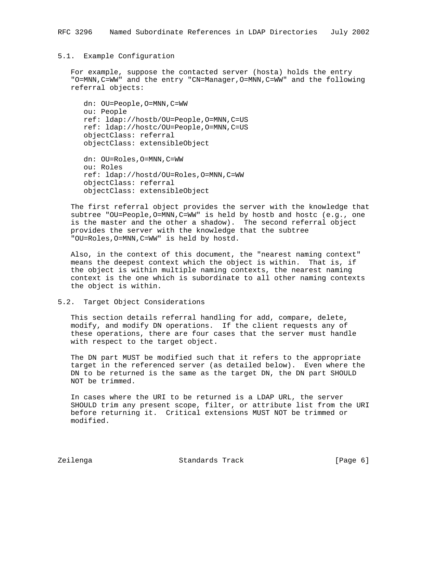# 5.1. Example Configuration

 For example, suppose the contacted server (hosta) holds the entry "O=MNN,C=WW" and the entry "CN=Manager,O=MNN,C=WW" and the following referral objects:

 dn: OU=People,O=MNN,C=WW ou: People ref: ldap://hostb/OU=People,O=MNN,C=US ref: ldap://hostc/OU=People,O=MNN,C=US objectClass: referral objectClass: extensibleObject

 dn: OU=Roles,O=MNN,C=WW ou: Roles ref: ldap://hostd/OU=Roles,O=MNN,C=WW objectClass: referral objectClass: extensibleObject

 The first referral object provides the server with the knowledge that subtree "OU=People, O=MNN, C=WW" is held by hostb and hostc (e.g., one is the master and the other a shadow). The second referral object provides the server with the knowledge that the subtree "OU=Roles,O=MNN,C=WW" is held by hostd.

 Also, in the context of this document, the "nearest naming context" means the deepest context which the object is within. That is, if the object is within multiple naming contexts, the nearest naming context is the one which is subordinate to all other naming contexts the object is within.

5.2. Target Object Considerations

 This section details referral handling for add, compare, delete, modify, and modify DN operations. If the client requests any of these operations, there are four cases that the server must handle with respect to the target object.

 The DN part MUST be modified such that it refers to the appropriate target in the referenced server (as detailed below). Even where the DN to be returned is the same as the target DN, the DN part SHOULD NOT be trimmed.

 In cases where the URI to be returned is a LDAP URL, the server SHOULD trim any present scope, filter, or attribute list from the URI before returning it. Critical extensions MUST NOT be trimmed or modified.

Zeilenga Standards Track [Page 6]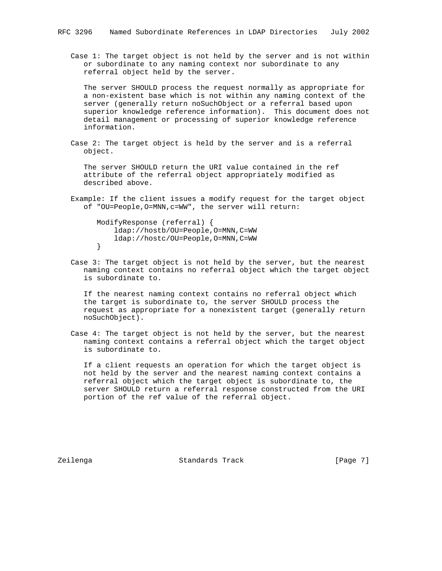Case 1: The target object is not held by the server and is not within or subordinate to any naming context nor subordinate to any referral object held by the server.

 The server SHOULD process the request normally as appropriate for a non-existent base which is not within any naming context of the server (generally return noSuchObject or a referral based upon superior knowledge reference information). This document does not detail management or processing of superior knowledge reference information.

 Case 2: The target object is held by the server and is a referral object.

 The server SHOULD return the URI value contained in the ref attribute of the referral object appropriately modified as described above.

 Example: If the client issues a modify request for the target object of "OU=People,O=MNN,c=WW", the server will return:

 ModifyResponse (referral) { ldap://hostb/OU=People,O=MNN,C=WW ldap://hostc/OU=People,O=MNN,C=WW }

 Case 3: The target object is not held by the server, but the nearest naming context contains no referral object which the target object is subordinate to.

 If the nearest naming context contains no referral object which the target is subordinate to, the server SHOULD process the request as appropriate for a nonexistent target (generally return noSuchObject).

 Case 4: The target object is not held by the server, but the nearest naming context contains a referral object which the target object is subordinate to.

 If a client requests an operation for which the target object is not held by the server and the nearest naming context contains a referral object which the target object is subordinate to, the server SHOULD return a referral response constructed from the URI portion of the ref value of the referral object.

Zeilenga Standards Track [Page 7]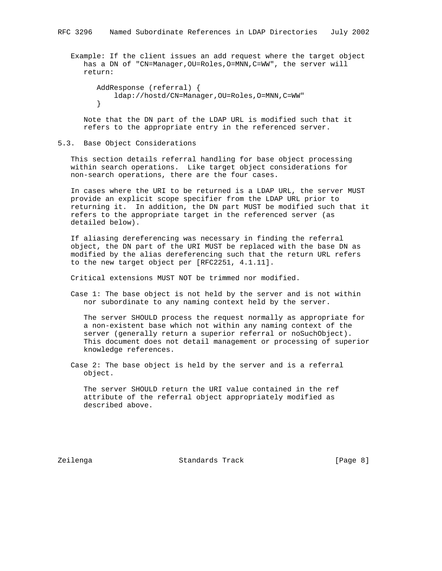Example: If the client issues an add request where the target object has a DN of "CN=Manager,OU=Roles,O=MNN,C=WW", the server will return:

```
 AddResponse (referral) {
    ldap://hostd/CN=Manager,OU=Roles,O=MNN,C=WW"
}
```
 Note that the DN part of the LDAP URL is modified such that it refers to the appropriate entry in the referenced server.

### 5.3. Base Object Considerations

 This section details referral handling for base object processing within search operations. Like target object considerations for non-search operations, there are the four cases.

 In cases where the URI to be returned is a LDAP URL, the server MUST provide an explicit scope specifier from the LDAP URL prior to returning it. In addition, the DN part MUST be modified such that it refers to the appropriate target in the referenced server (as detailed below).

 If aliasing dereferencing was necessary in finding the referral object, the DN part of the URI MUST be replaced with the base DN as modified by the alias dereferencing such that the return URL refers to the new target object per [RFC2251, 4.1.11].

Critical extensions MUST NOT be trimmed nor modified.

 Case 1: The base object is not held by the server and is not within nor subordinate to any naming context held by the server.

 The server SHOULD process the request normally as appropriate for a non-existent base which not within any naming context of the server (generally return a superior referral or noSuchObject). This document does not detail management or processing of superior knowledge references.

 Case 2: The base object is held by the server and is a referral object.

 The server SHOULD return the URI value contained in the ref attribute of the referral object appropriately modified as described above.

Zeilenga Standards Track [Page 8]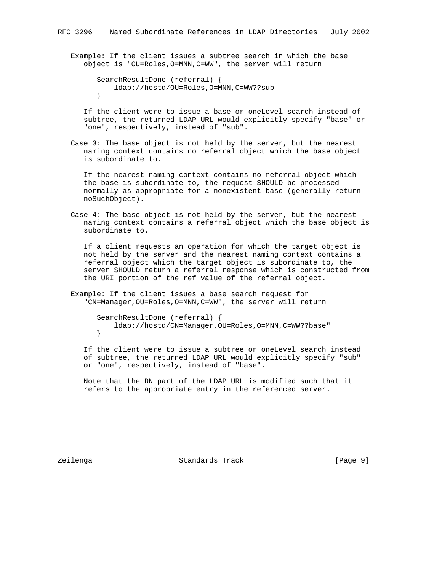Example: If the client issues a subtree search in which the base object is "OU=Roles,O=MNN,C=WW", the server will return

```
 SearchResultDone (referral) {
    ldap://hostd/OU=Roles,O=MNN,C=WW??sub
}
```
 If the client were to issue a base or oneLevel search instead of subtree, the returned LDAP URL would explicitly specify "base" or "one", respectively, instead of "sub".

 Case 3: The base object is not held by the server, but the nearest naming context contains no referral object which the base object is subordinate to.

 If the nearest naming context contains no referral object which the base is subordinate to, the request SHOULD be processed normally as appropriate for a nonexistent base (generally return noSuchObject).

 Case 4: The base object is not held by the server, but the nearest naming context contains a referral object which the base object is subordinate to.

 If a client requests an operation for which the target object is not held by the server and the nearest naming context contains a referral object which the target object is subordinate to, the server SHOULD return a referral response which is constructed from the URI portion of the ref value of the referral object.

 Example: If the client issues a base search request for "CN=Manager,OU=Roles,O=MNN,C=WW", the server will return

 SearchResultDone (referral) { ldap://hostd/CN=Manager,OU=Roles,O=MNN,C=WW??base" }

 If the client were to issue a subtree or oneLevel search instead of subtree, the returned LDAP URL would explicitly specify "sub" or "one", respectively, instead of "base".

 Note that the DN part of the LDAP URL is modified such that it refers to the appropriate entry in the referenced server.

Zeilenga Standards Track [Page 9]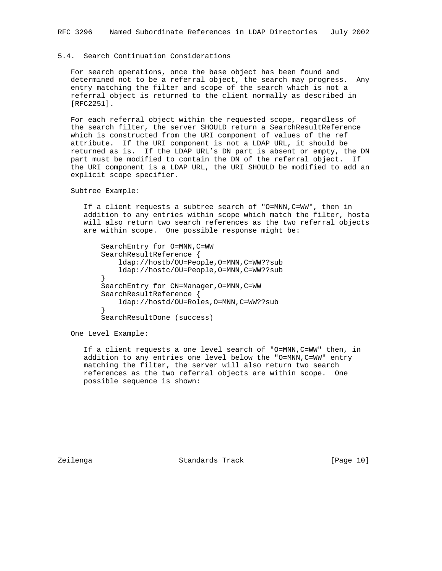# 5.4. Search Continuation Considerations

 For search operations, once the base object has been found and determined not to be a referral object, the search may progress. Any entry matching the filter and scope of the search which is not a referral object is returned to the client normally as described in [RFC2251].

 For each referral object within the requested scope, regardless of the search filter, the server SHOULD return a SearchResultReference which is constructed from the URI component of values of the ref attribute. If the URI component is not a LDAP URL, it should be returned as is. If the LDAP URL's DN part is absent or empty, the DN part must be modified to contain the DN of the referral object. If the URI component is a LDAP URL, the URI SHOULD be modified to add an explicit scope specifier.

Subtree Example:

 If a client requests a subtree search of "O=MNN,C=WW", then in addition to any entries within scope which match the filter, hosta will also return two search references as the two referral objects are within scope. One possible response might be:

 SearchEntry for O=MNN,C=WW SearchResultReference { ldap://hostb/OU=People,O=MNN,C=WW??sub ldap://hostc/OU=People,O=MNN,C=WW??sub } SearchEntry for CN=Manager,O=MNN,C=WW SearchResultReference { ldap://hostd/OU=Roles,O=MNN,C=WW??sub } SearchResultDone (success)

One Level Example:

 If a client requests a one level search of "O=MNN,C=WW" then, in addition to any entries one level below the "O=MNN, C=WW" entry matching the filter, the server will also return two search references as the two referral objects are within scope. One possible sequence is shown:

Zeilenga Standards Track [Page 10]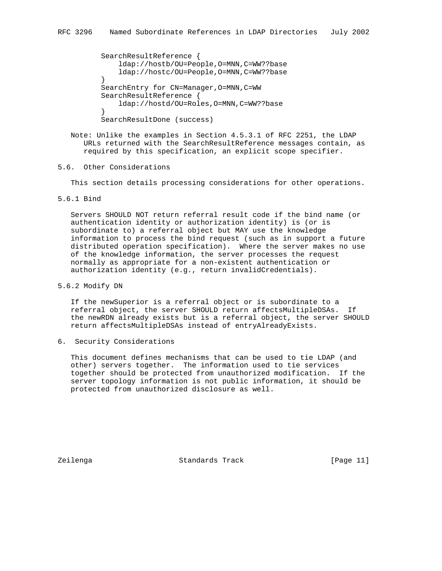```
 SearchResultReference {
             ldap://hostb/OU=People,O=MNN,C=WW??base
             ldap://hostc/OU=People,O=MNN,C=WW??base
}
        SearchEntry for CN=Manager, O=MNN, C=WW
         SearchResultReference {
             ldap://hostd/OU=Roles,O=MNN,C=WW??base
}
         SearchResultDone (success)
```
 Note: Unlike the examples in Section 4.5.3.1 of RFC 2251, the LDAP URLs returned with the SearchResultReference messages contain, as required by this specification, an explicit scope specifier.

# 5.6. Other Considerations

This section details processing considerations for other operations.

## 5.6.1 Bind

 Servers SHOULD NOT return referral result code if the bind name (or authentication identity or authorization identity) is (or is subordinate to) a referral object but MAY use the knowledge information to process the bind request (such as in support a future distributed operation specification). Where the server makes no use of the knowledge information, the server processes the request normally as appropriate for a non-existent authentication or authorization identity (e.g., return invalidCredentials).

5.6.2 Modify DN

 If the newSuperior is a referral object or is subordinate to a referral object, the server SHOULD return affectsMultipleDSAs. If the newRDN already exists but is a referral object, the server SHOULD return affectsMultipleDSAs instead of entryAlreadyExists.

6. Security Considerations

 This document defines mechanisms that can be used to tie LDAP (and other) servers together. The information used to tie services together should be protected from unauthorized modification. If the server topology information is not public information, it should be protected from unauthorized disclosure as well.

Zeilenga Standards Track [Page 11]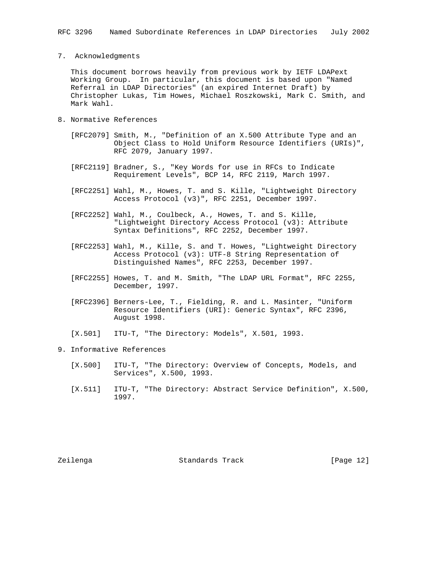#### 7. Acknowledgments

 This document borrows heavily from previous work by IETF LDAPext Working Group. In particular, this document is based upon "Named Referral in LDAP Directories" (an expired Internet Draft) by Christopher Lukas, Tim Howes, Michael Roszkowski, Mark C. Smith, and Mark Wahl.

- 8. Normative References
	- [RFC2079] Smith, M., "Definition of an X.500 Attribute Type and an Object Class to Hold Uniform Resource Identifiers (URIs)", RFC 2079, January 1997.
	- [RFC2119] Bradner, S., "Key Words for use in RFCs to Indicate Requirement Levels", BCP 14, RFC 2119, March 1997.
	- [RFC2251] Wahl, M., Howes, T. and S. Kille, "Lightweight Directory Access Protocol (v3)", RFC 2251, December 1997.
	- [RFC2252] Wahl, M., Coulbeck, A., Howes, T. and S. Kille, "Lightweight Directory Access Protocol (v3): Attribute Syntax Definitions", RFC 2252, December 1997.
	- [RFC2253] Wahl, M., Kille, S. and T. Howes, "Lightweight Directory Access Protocol (v3): UTF-8 String Representation of Distinguished Names", RFC 2253, December 1997.
	- [RFC2255] Howes, T. and M. Smith, "The LDAP URL Format", RFC 2255, December, 1997.
	- [RFC2396] Berners-Lee, T., Fielding, R. and L. Masinter, "Uniform Resource Identifiers (URI): Generic Syntax", RFC 2396, August 1998.
	- [X.501] ITU-T, "The Directory: Models", X.501, 1993.
- 9. Informative References
	- [X.500] ITU-T, "The Directory: Overview of Concepts, Models, and Services", X.500, 1993.
	- [X.511] ITU-T, "The Directory: Abstract Service Definition", X.500, 1997.

Zeilenga Standards Track [Page 12]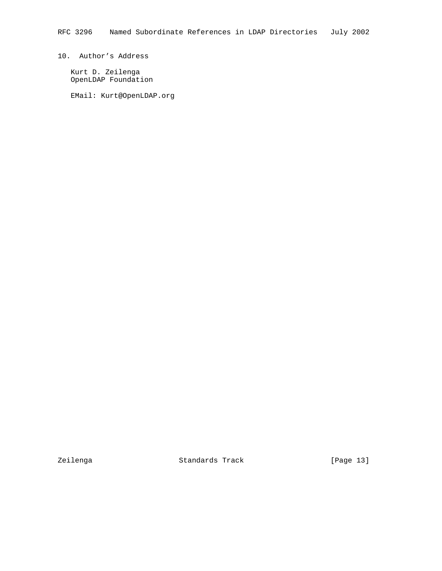# 10. Author's Address

 Kurt D. Zeilenga OpenLDAP Foundation

EMail: Kurt@OpenLDAP.org

Zeilenga Standards Track [Page 13]